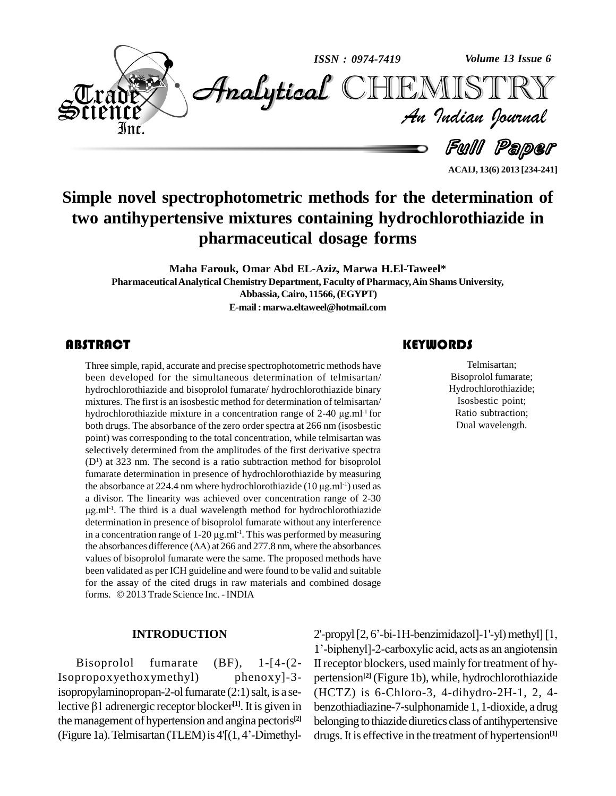

**Simple novel spectrophotometric methods for the determination of two antihypertensive mixtures containing hydrochlorothiazide in pharmaceutical dosage forms**

**Maha Farouk, Omar Abd EL-Aziz, Marwa H.El-Taweel\* PharmaceuticalAnalytical Chemistry Department, Faculty of Pharmacy,Ain Shams University, Abbassia, Cairo, 11566,(EGYPT) E-mail:[marwa.eltaweel@hotmail.com](mailto:marwa.eltaweel@hotmail.com)**

# **ABSTRACT**

Three simple, rapid, accu<br>been developed for the<br>hydrochlorothiazide and Three simple, rapid, accurate and precise spectrophotometric methods have been developed for the simultaneous determination of telmisartan/ hydrochlorothiazide and bisoprolol fumarate/ hydrochlorothiazide binary mixtures. The first is an isosbestic method for determination of telmisartan/ hydrochlorothiazide and bisoprolol fumarate/ hydrochlorothiazide binary<br>mixtures. The first is an isosbestic method for determination of telmisartan/<br>hydrochlorothiazide mixture in a concentration range of 2-40 µg.ml<sup>-1</sup> f hydrochlorothiazide mixture in a concentration range of 2-40  $\mu$ g ml<sup>-1</sup> for both drugs. The absorbance of the zero order spectra at 266 nm (isosbestic point) was corresponding to the total concentration, while telmisartan was selectively determined from the amplitudes of the first derivative spectra  $(D<sup>1</sup>)$  at 323 nm. The second is a ratio subtraction method for bisoprolol fumarate determination in presence of hydrochlorothiazide by measuring (D<sup>1</sup>) at 323 nm. The second is a ratio subtraction method for bisoprolol fumarate determination in presence of hydrochlorothiazide by measuring the absorbance at 224.4 nm where hydrochlorothiazide (10  $\mu$ g.ml<sup>-1</sup>) used a divisor. The linearity was achieved over concentration range of 2-30 μg.ml<sup>-1</sup>. The third is a dual wavelength method for hydrochlorothiazide<br>determination in presence of bisoprolol fumarate without any interference<br>in a concentration range of 1-20 μg.ml<sup>-1</sup>. This was performed by measurin determination in presence of bisoprolol fumarate without any interference -1 . This was performed by measuring determination in presence of bisoprolol fumarate without any interference<br>in a concentration range of  $1-20 \mu g$ .ml<sup>-1</sup>. This was performed by measuring<br>the absorbances difference ( $\Delta A$ ) at 266 and 277.8 nm, where the abs values of bisoprolol fumarate were the same. The proposed methods have been validated as per ICH guideline and were found to be valid and suitable<br>for the assay of the cited drugs in raw materials and combined dosage<br>forms. © 2013 Trade Science Inc. - INDIA for the assay of the cited drugs in raw materials and combined dosage

#### **INTRODUCTION**

Bisoprolol fumarate (BF), 1-[4-(2- Isopropoxyethoxymethyl) phenoxy]-3 isopropylaminopropan-2-ol fumarate (2:1) salt, is a se- (H Isopropoxyethoxymethyl) phen<br>isopropylaminopropan-2-ol fumarate (2:1) salective β1 adrenergic receptor blocker<sup>[1]</sup>. It is lective  $\beta$ 1 adrenergic receptor blocker<sup>[1]</sup>. It is given in benzot<br>the management of hypertension and angina pectoris<sup>[2]</sup> belong<br>(Figure 1a). Telmisartan (TLEM) is 4'[(1, 4'-Dimethyl-clrugs.) the management of hypertension and angina pectoris<sup>[2]</sup> belo

# **KEYWORDS**

Telmisartan;<br>Bisoprolol fumarate;<br>Hydrochlorothiazide; Telmisartan; Bisoprolol fumarate; Isosbestic point; Ratio subtraction; Dual wavelength.

**ACAIJ, 13(6) 2013 [234-241]**

 $2'$ -propyl $[2, 6'$ -bi-1H-benzimidazol]-1'-yl)methyl $[1, 6]$ <sup>1</sup>í-biphenyl]-2-carboxylic acid, acts as an angiotensin II receptor blockers, used mainly for treatment of hypertension **[2]** (Figure 1b), while, hydrochlorothiazide (HCTZ) is 6-Chloro-3, 4-dihydro-2H-1, 2, 4 benzothiadiazine-7-sulphonamide 1, 1-dioxide, a drug belonging to thiazide diuretics class of antihypertensive drugs. It is effective in the treatment of hypertension<sup>[1]</sup>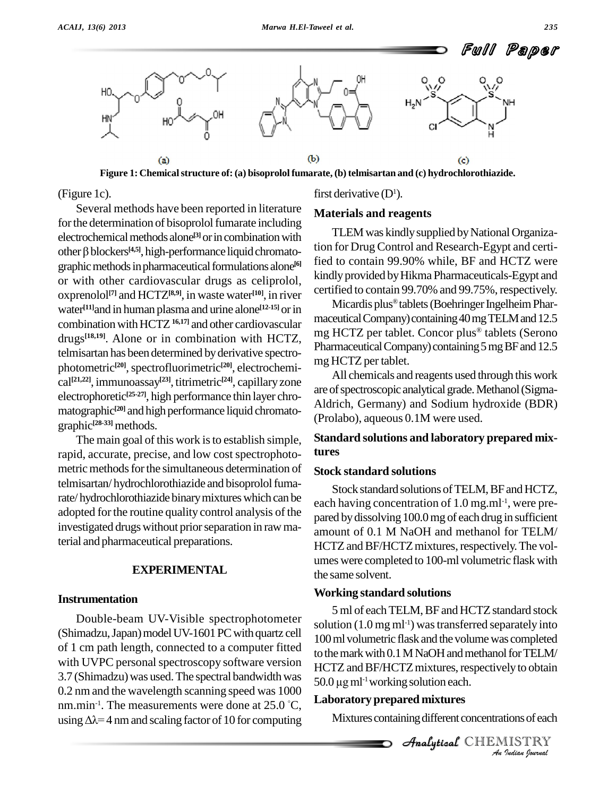

**Figure 1: Chemicalstructure of: (a) bisoprolol fumarate, (b) telmisartan and (c) hydrochlorothiazide.**

(Figure 1c).

Several methods have been reported in literature for the determination of bisoprolol fumarate including electrochemical methods alone<sup>[3]</sup> or in combination with for the determination of bisoprolol fumarate including<br>
electrochemical methods alone<sup>[3]</sup> or in combination with<br>
other  $\beta$  blockers<sup>[4,5]</sup>, high-performance liquid chromatographic methods in pharmaceutical formulations alone<sup>[6]</sup> or with other cardiovascular drugs as celiprolol, oxprenolol **[7]** and HCTZ **[8,9]**, in waste water **[10]**, in river water<sup>[11]</sup>and in human plasma and urine alone<sup>[12-15]</sup> or in combination with HCTZ <sup>16,17</sup>] and other cardiovascular drugs<sup>[18,19]</sup>. Alone or in combination with HCTZ,  $\frac{111}{N}$ telmisartan has been determined byderivative spectro photometric<sup>[20]</sup>, spectrofluorimetric<sup>[20]</sup>, electrochemical<sup>[21,22]</sup>, immunoassay<sup>[23]</sup>, titrimetric<sup>[24]</sup>, capillary zone electrophoretic<sup>[25-27]</sup>, high performance thin layer chromatographic<sup>[20]</sup> and high performance liquid chromatographic **[28-33]** methods.

The main goal of this work is to establish simple, rapid, accurate, precise, and low cost spectrophoto metric methods for the simultaneous determination of telmisartan/hydrochlorothiazide and bisoprolol fumarate/hydrochlorothiazide binary mixtures which can be adopted forthe routine quality control analysis of the investigated drugs without prior separation in raw material and pharmaceutical preparations.

## **EXPERIMENTAL**

# **Instrumentation**

Double-beam UV-Visible spectrophotometer (Shimadzu, Japan) model UV-1601 PC with quartz cell of 1 cm path length, connected to a computer fitted with UVPC personal spectroscopy software version 3.7 (Shimadzu) was used. The spectral bandwidth was 0.2 nm and the wavelength scanning speed was 1000<br>nm.min<sup>-1</sup>. The measurements were done at 25.0 °C, **Labor**:<br>using  $\Delta \lambda = 4$  nm and scaling factor of 10 for computing Mi nm.min<sup>-1</sup>. The measurements were done at 25.0 °C,  $\mathbf{L}^{\mathbf{a}}$ 

first derivative  $(D<sup>1</sup>)$ .

# **Materials and reagents**

TLEM was kindly supplied by National Organization for Drug Control and Research-Egypt and certified to contain 99.90% while, BF and HCTZ were kindly provided by Hikma Pharmaceuticals-Egypt and certified to contain 99.70% and 99.75%, respectively.<br>Micardis plus® tablets (Boehringer Ingelheim Phar-

maceutical Company) containing 40 mg TELM and 12.5 mg HCTZ per tablet. Concor plus<sup>®</sup> tablets (Serono Pharmaceutical Company) containing 5 mg BF and 12.5 mg HCTZ per tablet.

All chemicals and reagents used through this work are of spectroscopic analytical grade. Methanol (Sigma-Aldrich, Germany) and Sodium hydroxide (BDR) (Prolabo), aqueous 0.1M were used.

# **Standard solutions and laboratory prepared mixtures**

#### **Stock standard solutions**

Stock standard solutions of TELM, BF and HCTZ, each having concentration of 1.0 mg.ml<sup>-1</sup>, were prepared by dissolving 100.0 mg of each drug in sufficient amount of 0.1 M NaOH and methanol for TELM/ HCTZ and BF/HCTZ mixtures, respectively. The volumes were completed to 100-ml volumetric flask with the same solvent.

#### **Working standard solutions**

*And Analytical HCTZ* mixtures, respectively to obtain *I*ly to obtain<br>tions of each<br>IISTRY<br>Indian Iournal 5 ml of each TELM, BF and HCTZ standard stock solution (1.0 mg ml<sup>-1</sup>) was transferred separately into 100 ml volumetric flask and the volume was completed to the mark with  $0.1$  M NaOH and methanol for TELM/ to the mark with 0.1 M NaOH and metha<br>HCTZ and BF/HCTZ mixtures, respect<br>50.0 µg ml<sup>-1</sup> working solution each.

#### **Laboratory prepared mixtures**

Mixtures containing different concentrations of each

**Analytical** CHEMISTRY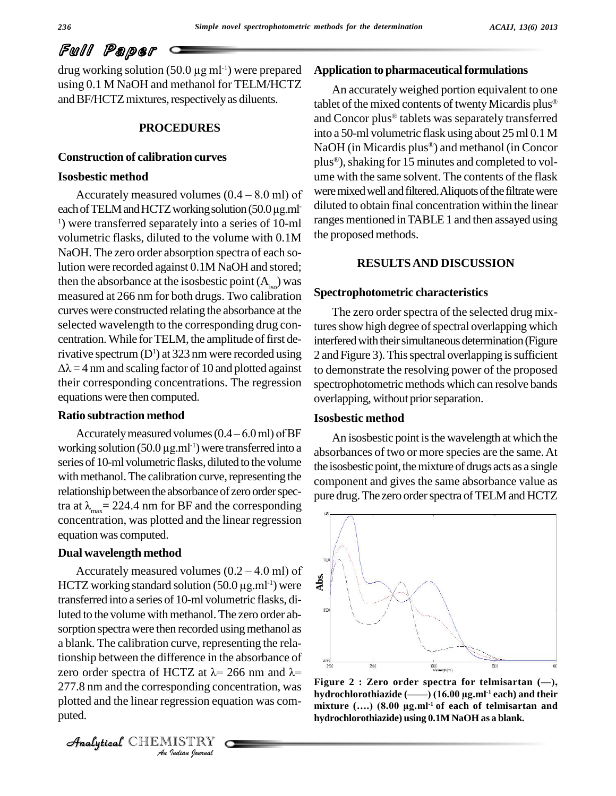**Full Paper**<br>drug working solution (50.0 µg ml<sup>-1</sup>) were prepared **Applic** using 0.1 M NaOH and methanol for TELM/HCTZ and BF/HCTZ mixtures, respectively as diluents.

## **PROCEDURES**

# **Construction of calibration curves**

# **Isosbestic method**

each of TELM and HCTZ working solution (50.0 µg.ml <sup>1</sup>) were transferred separately into a series of 10-ml volumetric flasks, diluted to the volume with 0.1M NaOH. The zero order absorption spectra of each solution were recorded against 0.1M NaOH and stored; then the absorbance at the isosbestic point  $(A<sub>iso</sub>)$  was measured at 266 nm for both drugs. Two calibration curves were constructed relating the absorbance at the selected wavelength to the corresponding drug con centration. While for TELM, the amplitude of first derivative spectrum  $(D<sup>1</sup>)$  at 323 nm were recorded using  $\Delta \lambda = 4$  nm and scaling factor of 10 and plotted against their corresponding concentrations. The regression equations were then computed.

# **Ratio subtraction method**

Accurately measured volumes  $(0.4 - 6.0 \text{ ml})$  of BF **Ratio subtraction method**<br>Accurately measured volumes  $(0.4 - 6.0 \text{ ml})$  of BF<br>working solution  $(50.0 \mu g.m^{-1})$  were transferred into a series of 10-ml volumetric flasks, diluted to the volume with methanol. The calibration curve, representing the relationship between the absorbance of zero order spectra at  $\lambda_{\text{max}}$  = 224.4 nm for BF and the corresponding concentration, was plotted and the linear regression equation was computed.

# **Dual wavelength method**

*Analytics* of **A** *ICTZ* at λ= *1*<br>*i*ponding con<br>gression equ<br>*IISTRY* Accurately measured volumes  $(0.2 – 4.0$  ml) of **Dual wavelength method**<br>Accurately measured volumes (0.2 – 4.0 ml) of<br>HCTZ working standard solution (50.0 µg.ml<sup>-1</sup>) were transferred into a series of 10-ml volumetric flasks, diluted to the volume with methanol. The zero order absorption spectra were then recorded using methanol as a blank. The calibration curve, representing the relationship between the difference in the absorbance of a blank. The calibration curve, representing the rela-<br>tionship between the difference in the absorbance of<br>zero order spectra of HCTZ at  $\lambda$ = 266 nm and  $\lambda$ = 277.8 nm and the corresponding concentration, was plotted and the linear regression equation was com puted.

CHEMISTRY

# Application to pharmaceutical formulations

**Exercise 15 minutes and completed to volumes<br>shestic method** plus<sup>®</sup>), shaking for 15 minutes and completed to volume<br>Accurately measured volumes  $(0.4 - 8.0 \text{ ml})$  of were mixed well and filtered. Aliquots of the filtrate - diluted to obtain final concentration within the linear An accuratelyweighed portion equivalent to one An accurately weighed portion equivalent to one<br>tablet of the mixed contents of twenty Micardis plus® tablet of the mixed contents of twenty Micardis plus®<br>and Concor plus® tablets was separately transferred into a 50-ml volumetric flask using about 25ml 0.1 M into a 50-ml volumetric flask using about 25 ml 0.1 M<br>NaOH (in Micardis plus®) and methanol (in Concor NaOH (in Micardis plus®) and methanol (in Concor<br>plus®), shaking for 15 minutes and completed to volume with the same solvent. The contents of the flask were mixed well and filtered. Aliquots of the filtrate were ranges mentioned in TABLE 1 and then assayed using the proposed methods.

#### **RESULTSAND DISCUSSION**

### **Spectrophotometric characteristics**

The zero order spectra of the selected drug mixtures show high degree of spectral overlapping which interfered with their simultaneous determination (Figure 2 and Figure 3). This spectral overlapping is sufficient to demonstrate the resolving power of the proposed spectrophotometric methods which can resolve bands overlapping, without prior separation.

# **Isosbestic method**

An isosbestic point is the wavelength at which the absorbances of two or more species are the same.At the isosbestic point, the mixture of drugs acts as a single component and gives the same absorbance value as pure drug. The zero order spectra of TELM and HCTZ



**hydrochlorothiazide (óó) (16.00 µg.ml -1 each) and their mixture (Ö.) (8.00 µg.ml** mixture  $(...)$  (8.00 µg.ml<sup>-1</sup> of each of telmisartan and **hydrochlorothiazide) using 0.1M NaOH as a blank.**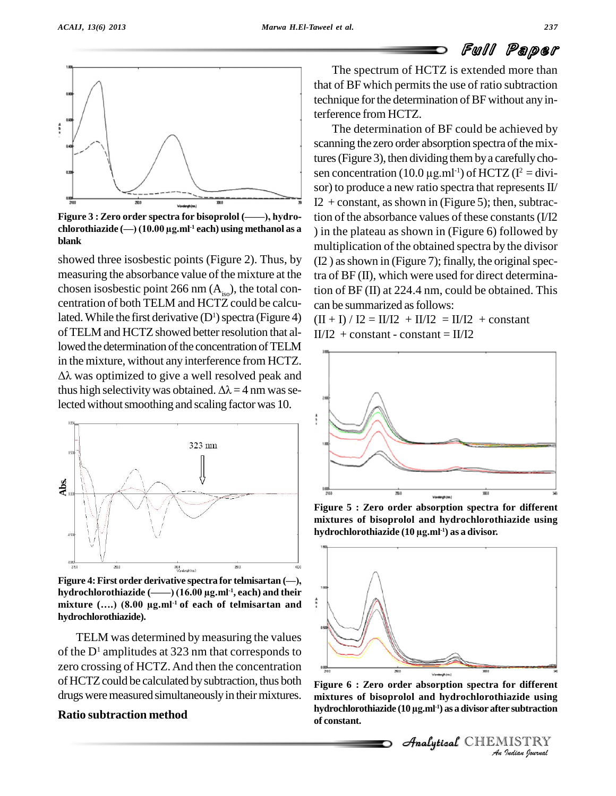

**Figure <sup>3</sup> : Zero order spectra for bisoprolol (óó), hydro c**his are  $\begin{bmatrix} 200 & 100 \\ 2000 & 200 \\ 2000 & 200 \\ 2000 & 2000 \\ 2000 & 2000 \\ 2000 & 2000 \\ 2000 & 2000 \\ 2000 & 2000 \\ 2000 & 2000 \\ 2000 & 2000 \\ 2000 & 2000 \\ 2000 & 2000 \\ 2000 & 2000 \\ 2000 & 2000 \\ 2000 & 2000 \\ 2000 & 2000 \\ 2000 & 2000 \\ 200$ **blank**

showed three isosbestic points (Figure 2). Thus, by measuring the absorbance value of the mixture at the chosen isosbestic point 266 nm  $(A_{iso})$ , the total concentration of both TELM and HCTZ could be calculated. While the first derivative  $(D<sup>1</sup>)$  spectra (Figure 4) of TELM and HCTZ showed better resolution that allowed the determination of the concentration of TELM lowed the determination of the concentration of TELM<br>in the mixture, without any interference from HCTZ.  $\Delta\lambda$  was optimized to give a well resolved peak and in the mixture, without any interference from HCTZ.<br> $\Delta\lambda$  was optimized to give a well resolved peak and thus high selectivity was obtained.  $\Delta\lambda = 4$  nm was selected without smoothing and scaling factor was 10.



**hydrochlorothiazide (óó) (16.00 µg.ml -1 , each) and their mixture (Ö.) (8.00 µg.ml**  $mixture$  (....)  $(8.00 \text{ µg.ml}^{-1} \text{ of each of telmisartan and})$ **hydrochlorothiazide).**

TELM was determined by measuring the values of the  $D<sup>1</sup>$  amplitudes at 323 nm that corresponds to zero crossing of HCTZ.And then the concentration of HCTZ could be calculated by subtraction, thus both drugs were measured simultaneously in their mixtures.

# **Ratio subtraction method**

The spectrum of HCTZ is extended more than that of BF which permits the use of ratio subtraction technique for the determination of BF without any interference from HCTZ.

The determination of BF could be achieved by scanning the zero order absorption spectra of the mix-<br>tures (Figure 3), then dividing them by a carefully cho-<br>sen concentration (10.0  $\mu$ g.ml<sup>-1</sup>) of HCTZ (I<sup>2</sup> = divitures (Figure 3), then dividing them by a carefully cho- $^{-1}$ ) of HCTZ ( $I^2 = \text{div}i$ sor) to produce a new ratio spectra that represents  $II/$ I2 + constant, as shown in (Figure 5); then, subtraction of the absorbance values of these constants(I/I2 ) in the plateau as shown in (Figure 6) followed by multiplication of the obtained spectra by the divisor  $(12)$  as shown in (Figure 7); finally, the original spectra of BF (II), which were used for direct determination of BF (II) at 224.4 nm, could be obtained. This can be summarized as follows:

 $(II + I)/ I2 = II/I2 + II/I2 = II/I2 + constant$  $II/I2 + constant - constant = II/I2$ 



**Figure 5 : Zero order absorption spectra for different hydrochlorothiazide (10 µg.ml mixtures of bisoprolol and hydrochlorothiazide using -1) as a divisor.**



**INDIANAL CONSTRANT CONTROLLER CONSTRANT CONSTRANT CONSTRANT CONSTRANT CONSTRANT CONSTRANT CONSTRANT CONSTRANT CONSTRANT CONSTRANT CONSTRANT CONSTRANT CONSTRANT CONSTRANT CONSTRANT CONSTRANT CONSTRANT CONSTRANT CONSTRANT C Figure 6 : Zero order absorption spectra for different hydrochlorothiazide (10 µg.ml mixtures of bisoprolol and hydrochlorothiazide using -1) as adivisor after subtraction of constant.**

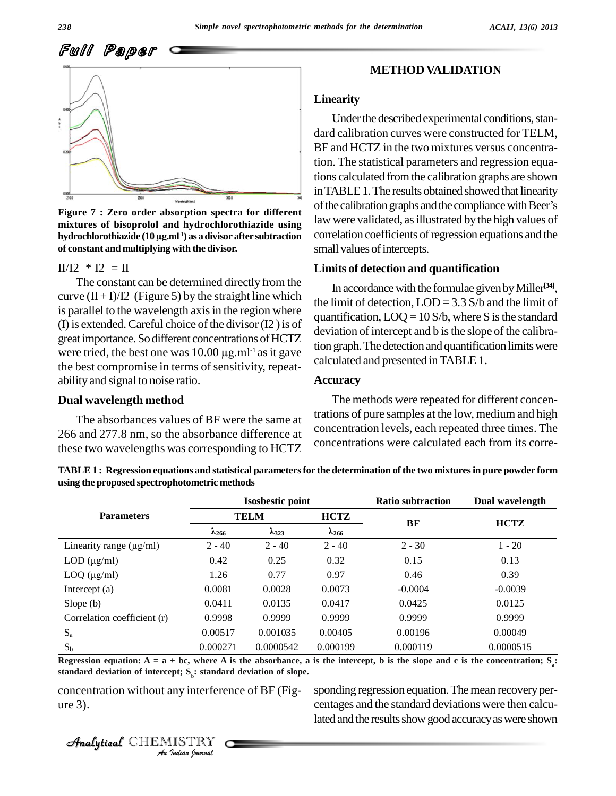

**mixtures of bisoprolol and hydrochlorothiazide using** Figure 7 : Zero order absorpti<mark>o</mark><br>mixtures of bisoprolol and hyd<br>hydrochlorothiazide (10 µg.ml<sup>1</sup>) as **-1) as adivisor after subtraction of constant and multiplying with the divisor.**

 $II/I2 * I2 = II$ 

The constant can be determined directly from the curve  $(II + I)/I2$  (Figure 5) by the straight line which is parallel to the wavelength axis in the region where (I) is extended. Careful choice of the divisor  $(12)$  is of great importance. So different concentrations of HCTZ (I) is extended. Careful choice of the divisor (I2) is of deviat great importance. So different concentrations of HCTZ deviat tion g<br>were tried, the best one was  $10.00 \mu g.ml^{-1}$  as it gave the best compromise in terms of sensitivity, repeatability and signal to noise ratio.

# **Dual wavelength method**

The absorbances values of BF were the same at 266 and 277.8 nm, so the absorbance difference at these two wavelengths was corresponding to HCTZ

# **METHOD VALIDATION**

## **Linearity**

Under the described experimental conditions, standard calibration curves were constructed for TELM, BF and HCTZ in the two mixtures versus concentration. The statistical parameters and regression equations calculated from the calibration graphs are shown<br>in TABLE 1. The results obtained showed that linearity<br>of the calibration graphs and the compliance with Beer's inTABLE1.The results obtained showed that linearity law were validated, as illustrated by the high values of correlation coefficients of regression equations and the small values of intercepts. **Figure** 7 **: Zero** order absorption spectra for different of the calibration graphs and the compliance with Beer's

#### **Limits of detection and quantification**

In accordancewith the formulae givenbyMiller **[34]**, the limit of detection,  $LOD = 3.3 S/b$  and the limit of quantification,  $LOQ = 10 S/b$ , where S is the standard deviation of intercept and b is the slope of the calibration graph. The detection and quantification limits were calculated and presented inTABLE 1.

#### **Accuracy**

The methods were repeated for different concentrations of pure samples at the low, medium and high concentration levels, each repeated three times. The concentrations were calculated each from its corre-

TABLE 1: Regression equations and statistical parameters for the determination of the two mixtures in pure powder form **using the proposed spectrophotometric methods**

|                              |                 | <b>Isosbestic point</b> |                 | <b>Ratio subtraction</b> | Dual wavelength |  |
|------------------------------|-----------------|-------------------------|-----------------|--------------------------|-----------------|--|
| <b>Parameters</b>            | <b>TELM</b>     |                         | <b>HCTZ</b>     | BF                       | <b>HCTZ</b>     |  |
|                              | $\lambda_{266}$ | $\lambda_{323}$         | $\lambda_{266}$ |                          |                 |  |
| Linearity range $(\mu g/ml)$ | $2 - 40$        | $2 - 40$                | $2 - 40$        | $2 - 30$                 | $1 - 20$        |  |
| $LOD$ ( $\mu$ g/ml)          | 0.42            | 0.25                    | 0.32            | 0.15                     | 0.13            |  |
| $LOQ$ ( $\mu$ g/ml)          | 1.26            | 0.77                    | 0.97            | 0.46                     | 0.39            |  |
| Intercept $(a)$              | 0.0081          | 0.0028                  | 0.0073          | $-0.0004$                | $-0.0039$       |  |
| Slope $(b)$                  | 0.0411          | 0.0135                  | 0.0417          | 0.0425                   | 0.0125          |  |
| Correlation coefficient (r)  | 0.9998          | 0.9999                  | 0.9999          | 0.9999                   | 0.9999          |  |
| $S_{a}$                      | 0.00517         | 0.001035                | 0.00405         | 0.00196                  | 0.00049         |  |
| $S_b$                        | 0.000271        | 0.0000542               | 0.000199        | 0.000119                 | 0.0000515       |  |

*Andard* deviation of interc Regression equation:  $A = a + bc$ , where A is the absorbance, a is the intercept, b is the slope and c is the concentration; S<sub>,</sub>:

**IEPO:** S<sub>b</sub>: standar<br> **IISTRY**<br> *IISTRY* concentration without any interference of BF (Fig-

CHEMISTRY

concentration without any interference of BF (Fig-<br>centages and the standard deviations were then calcu-<br>centages and the standard deviations were then calculated and the results show good accuracy as were shown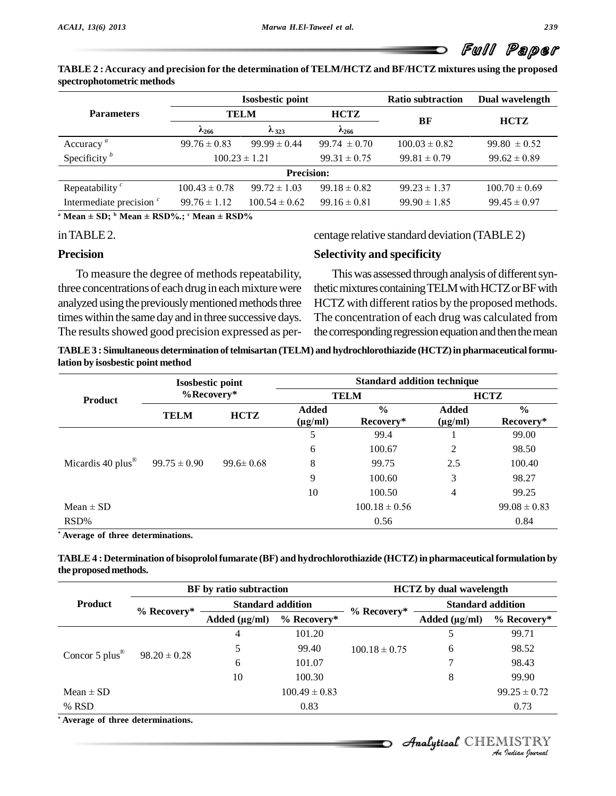| TABLE 2 : Accuracy and precision for the determination of TELM/HCTZ and BF/HCTZ mixtures using the proposed |  |
|-------------------------------------------------------------------------------------------------------------|--|
| spectrophotometric methods                                                                                  |  |

| <b>TELM</b><br>$\lambda_{266}$ |                   | <b>HCTZ</b>                                                                             |                   |                   |  |
|--------------------------------|-------------------|-----------------------------------------------------------------------------------------|-------------------|-------------------|--|
|                                |                   |                                                                                         |                   |                   |  |
| $\lambda_{323}$                |                   | $\lambda_{266}$                                                                         | BF                | <b>HCTZ</b>       |  |
| $99.76 \pm 0.83$               | $99.99 \pm 0.44$  | $99.74 \pm 0.70$                                                                        | $100.03 \pm 0.82$ | $99.80 \pm 0.52$  |  |
| $100.23 \pm 1.21$              |                   | $99.31 \pm 0.75$                                                                        | $99.81 \pm 0.79$  | $99.62 \pm 0.89$  |  |
|                                |                   |                                                                                         |                   |                   |  |
| $100.43 \pm 0.78$              | $99.72 \pm 1.03$  | $99.18 \pm 0.82$                                                                        | $99.23 \pm 1.37$  | $100.70 \pm 0.69$ |  |
| $99.76 \pm 1.12$               | $100.54 \pm 0.62$ | $99.16 \pm 0.81$                                                                        | $99.90 \pm 1.85$  | $99.45 \pm 0.97$  |  |
|                                |                   | <sup>a</sup> Mean $\pm$ SD; <sup>b</sup> Mean $\pm$ RSD%.; <sup>c</sup> Mean $\pm$ RSD% | <b>Precision:</b> |                   |  |

#### inTABLE2.

### **Precision**

To measure the degree of methods repeatability, three concentrations of each drug in each mixture were analyzed using the previously mentioned methods three times within the same day and in three successive days. The results showed good precision expressed as per-

#### centage relative standard deviation (TABLE2)

#### **Selectivity and specificity**

This was assessed through analysis of different synthetic mixtures containing TELM with HCTZ or BF with HCTZ with different ratios by the proposed methods. The concentration of each drug was calculated from the corresponding regression equation and then the mean

 $TABLE3: Simultaneous determination of telmisartan (TELM) and hydrochlorothiazide (HCTZ) in pharmacautical formulae.$ **lation by isosbestic point method**

|                                 | <b>Isosbestic point</b><br>$%$ Recovery* |                 | <b>Standard addition technique</b> |                            |                              |                            |  |  |
|---------------------------------|------------------------------------------|-----------------|------------------------------------|----------------------------|------------------------------|----------------------------|--|--|
| <b>Product</b>                  |                                          |                 |                                    | <b>TELM</b>                | <b>HCTZ</b>                  |                            |  |  |
|                                 | <b>TELM</b>                              | <b>HCTZ</b>     | <b>Added</b><br>$(\mu g/ml)$       | $\frac{0}{0}$<br>Recovery* | <b>Added</b><br>$(\mu g/ml)$ | $\frac{0}{0}$<br>Recovery* |  |  |
|                                 |                                          |                 | 5                                  | 99.4                       |                              | 99.00                      |  |  |
|                                 |                                          |                 | 6                                  | 100.67                     | 2                            | 98.50                      |  |  |
| Micardis 40 plus $^{\circledR}$ | $99.75 \pm 0.90$                         | $99.6 \pm 0.68$ | 8                                  | 99.75                      | 2.5                          | 100.40                     |  |  |
|                                 |                                          |                 | 9                                  | 100.60                     | 3                            | 98.27                      |  |  |
|                                 |                                          |                 | 10                                 | 100.50                     | $\overline{4}$               | 99.25                      |  |  |
| Mean $\pm$ SD                   |                                          |                 |                                    | $100.18 \pm 0.56$          |                              | $99.08 \pm 0.83$           |  |  |
| RSD%                            |                                          |                 |                                    | 0.56                       |                              | 0.84                       |  |  |

**\* Average of three determinations.**

| TABLE 4 : Determination of bisoprolol fumarate (BF) and hydrochlorothiazide (HCTZ) in pharmaceutical formulation by |  |
|---------------------------------------------------------------------------------------------------------------------|--|
| the proposed methods.                                                                                               |  |

|                                  |                  | BF by ratio subtraction  |                   | <b>HCTZ</b> by dual wavelength |                          |                  |  |
|----------------------------------|------------------|--------------------------|-------------------|--------------------------------|--------------------------|------------------|--|
| <b>Product</b>                   |                  | <b>Standard addition</b> |                   |                                | <b>Standard addition</b> |                  |  |
|                                  | $%$ Recovery*    | Added $(\mu g/ml)$       | % Recovery*       | $%$ Recovery*                  | Added $(\mu g/ml)$       | % Recovery*      |  |
| Concor 5 $plus^{\otimes}$        | $98.20 \pm 0.28$ | 4                        | 101.20            |                                |                          | 99.71            |  |
|                                  |                  |                          | 99.40             | $100.18 \pm 0.75$              | 6                        | 98.52            |  |
|                                  |                  | 6                        | 101.07            |                                |                          | 98.43            |  |
|                                  |                  | 10                       | 100.30            |                                | 8                        | 99.90            |  |
| Mean $\pm$ SD                    |                  |                          | $100.49 \pm 0.83$ |                                |                          | $99.25 \pm 0.72$ |  |
| % RSD                            |                  |                          | 0.83              |                                |                          | 0.73             |  |
| Average of three determinations. |                  |                          |                   |                                |                          |                  |  |

# CHEMISTRY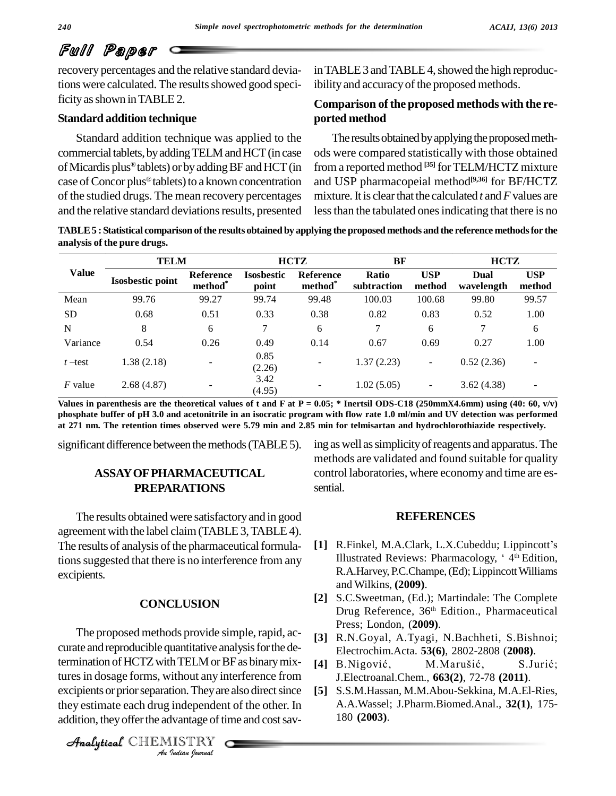recovery percentages and the relative standard deviations were calculated. The results showed good specificity as shown in TABLE 2.

# **Standard addition technique**

Standard addition technique was applied to the commercial tablets, by adding TELM and HCT (in case ods we<br>of Micardis plus® tablets) or by adding BF and HCT (in from a of Micardis plus<sup>®</sup> tablets) or by adding BF and HCT (in case of Concor plus<sup>®</sup> tablets) to a known concentration of the studied drugs. The mean recovery percentages and the relative standard deviations results, presented

in TABLE 3 and TABLE 4, showed the high reproducibility and accuracy of the proposed methods.

# **Comparison ofthe proposed methods with the re ported method**

The results obtained by applying the proposed methods were compared statistically with those obtained from a reported method **[35]** forTELM/HCTZmixture and USP pharmacopeial method **[9,36]** for BF/HCTZ mixture.It is clearthat the calculated *t* and*F*values are less than the tabulated ones indicating that there is no

TABLE 5: Statistical comparison of the results obtained by applying the proposed methods and the reference methods for the **analysis of the pure drugs.**

|              | <b>TELM</b>             |                                  | <b>HCTZ</b>                |                            | BF                   |                      | <b>HCTZ</b>        |                          |
|--------------|-------------------------|----------------------------------|----------------------------|----------------------------|----------------------|----------------------|--------------------|--------------------------|
| <b>Value</b> | <b>Isosbestic point</b> | Reference<br>method <sup>*</sup> | <b>Isosbestic</b><br>point | <b>Reference</b><br>method | Ratio<br>subtraction | <b>USP</b><br>method | Dual<br>wavelength | <b>USP</b><br>method     |
| Mean         | 99.76                   | 99.27                            | 99.74                      | 99.48                      | 100.03               | 100.68               | 99.80              | 99.57                    |
| <b>SD</b>    | 0.68                    | 0.51                             | 0.33                       | 0.38                       | 0.82                 | 0.83                 | 0.52               | 1.00                     |
| N            | 8                       | 6                                | ⇁                          | 6                          | 7                    | 6                    | 7                  | 6                        |
| Variance     | 0.54                    | 0.26                             | 0.49                       | 0.14                       | 0.67                 | 0.69                 | 0.27               | 1.00                     |
| $t$ –test    | 1.38(2.18)              |                                  | 0.85<br>(2.26)             | $\overline{\phantom{a}}$   | 1.37(2.23)           | ۰                    | 0.52(2.36)         | $\overline{\phantom{a}}$ |
| $F$ value    | 2.68(4.87)              | $\overline{\phantom{0}}$         | 3.42<br>(4.95)             | $\overline{\phantom{a}}$   | 1.02(5.05)           | ۰.                   | 3.62(4.38)         | $\overline{\phantom{a}}$ |

Values in parenthesis are the theoretical values of t and F at P = 0.05; \* Inertsil ODS-C18 (250mmX4.6mm) using (40: 60, v/v) phosphate buffer of pH 3.0 and acetonitrile in an isocratic program with flow rate 1.0 ml/min and UV detection was performed at 271 nm. The retention times observed were 5.79 min and 2.85 min for telmisartan and hydrochlorothiazide respectively.

significant difference between the methods (TABLE 5).

# **ASSAYOFPHARMACEUTICAL PREPARATIONS**

The results obtained were satisfactoryand in good agreement with the label claim(TABLE3,TABLE4). The results of analysis of the pharmaceutical formulations suggested that there is no interference from any excipients.

# **CONCLUSION**

termination of HCTZ with TELM or BF as binary mix-*In TEENT of E*<br> *I*<br> *Independen*<br> *INdian hournal* tures in dosage forms, without any interference from J.Electr The proposed methods provide simple, rapid, ac curate and reproducible quantitative analysis for the deexcipients or prior separation. They are also direct since they estimate each drug independent of the other. In addition, they offer the advantage of time and cost sav-

CHEMISTRY

ing aswell assimplicityofreagents and apparatus.The methods are validated and found suitable for quality control laboratories, where economy and time are es sential.

# **REFERENCES**

- **REFERENCES<br>[1] R.Finkel, M.A.Clark, L.X.Cubeddu; Lippincott's** R.Finkel, M.A.Clark, L.X.Cubeddu; Lippincott's<br>Illustrated Reviews: Pharmacology, '4th Edition Illustrated Reviews: Pharmacology, '4<sup>th</sup> Edition, R.A.Harvey, P.C.Champe, (Ed); Lippincott Williams and Wilkins, **(2009)**.
- **[2]** S.C.Sweetman, (Ed.); Martindale: The Complete Drug Reference, 36<sup>th</sup> Edition., Pharmaceutical Press; London, (**2009)**.
- **[3]** R.N.Goyal, A.Tyagi, N.Bachheti, S.Bishnoi;<br>Electrochim.Acta. **53(6)**, 2802-2808 (**2008**).<br>**[4]** B.Nigović, M.Marušić, S.Jurić; Electrochim.Acta. **53(6)**, 2802-2808 (**2008)**.
- J.Electroanal.Chem., **663(2)**, 72-78 **(2011)**.
- **[5]** S.S.M.Hassan, M.M.Abou-Sekkina, M.A.El-Ries, A.A.Wassel; J.Pharm.Biomed.Anal., **32(1)**, 175- 180 **(2003)**.